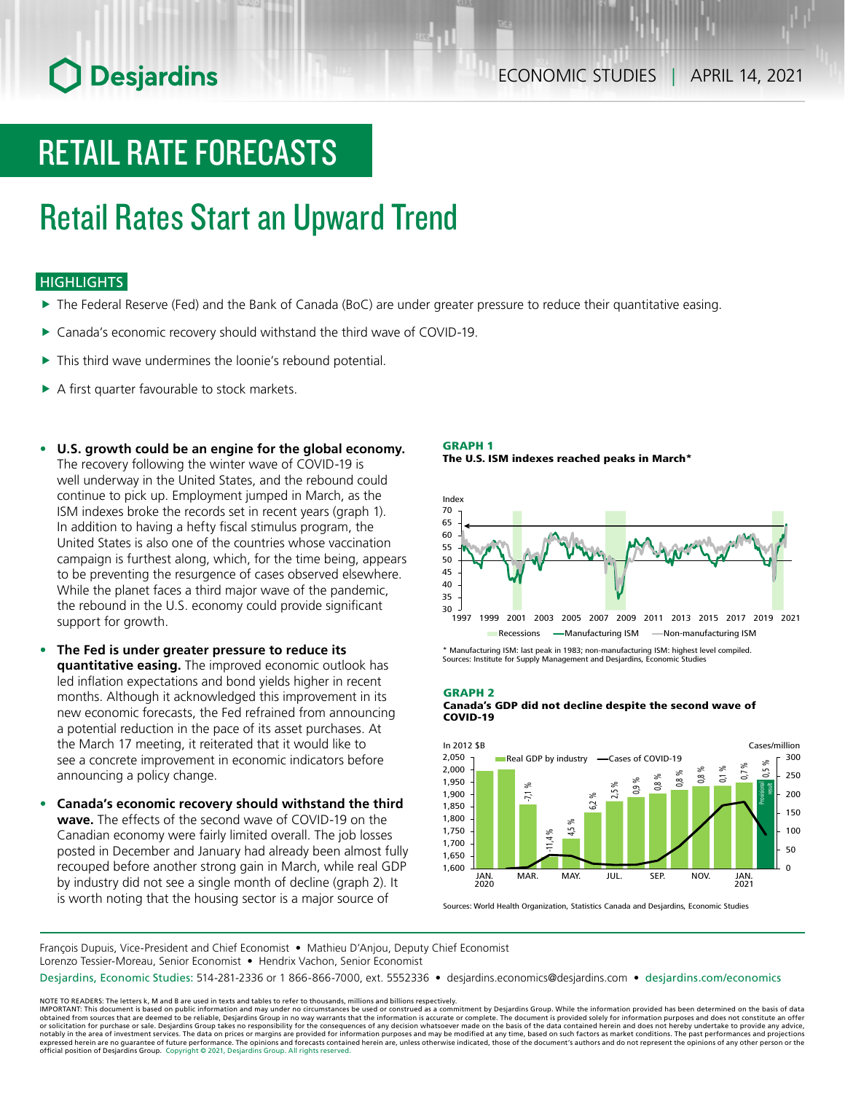# **O** Desjardins

# RETAIL RATE FORECASTS

# Retail Rates Start an Upward Trend

### **HIGHLIGHTS**

- $\blacktriangleright$  The Federal Reserve (Fed) and the Bank of Canada (BoC) are under greater pressure to reduce their quantitative easing.
- ▶ Canada's economic recovery should withstand the third wave of COVID-19.
- $\blacktriangleright$  This third wave undermines the loonie's rebound potential.
- $\triangleright$  A first quarter favourable to stock markets.
- **• U.S. growth could be an engine for the global economy.** The recovery following the winter wave of COVID-19 is well underway in the United States, and the rebound could continue to pick up. Employment jumped in March, as the ISM indexes broke the records set in recent years (graph 1). In addition to having a hefty fiscal stimulus program, the United States is also one of the countries whose vaccination campaign is furthest along, which, for the time being, appears to be preventing the resurgence of cases observed elsewhere. While the planet faces a third major wave of the pandemic, the rebound in the U.S. economy could provide significant support for growth.
- **• The Fed is under greater pressure to reduce its quantitative easing.** The improved economic outlook has led inflation expectations and bond yields higher in recent months. Although it acknowledged this improvement in its new economic forecasts, the Fed refrained from announcing a potential reduction in the pace of its asset purchases. At the March 17 meeting, it reiterated that it would like to see a concrete improvement in economic indicators before announcing a policy change.
- **• Canada's economic recovery should withstand the third wave.** The effects of the second wave of COVID-19 on the Canadian economy were fairly limited overall. The job losses posted in December and January had already been almost fully recouped before another strong gain in March, while real GDP by industry did not see a single month of decline (graph 2). It is worth noting that the housing sector is a major source of

GRAPH 1





\* Manufacturing ISM: last peak in 1983; non-manufacturing ISM: highest level compiled. Sources: Institute for Supply Management and Desjardins, Economic Studies

#### GRAPH 2

#### Canada's GDP did not decline despite the second wave of COVID-19



Sources: World Health Organization, Statistics Canada and Desjardins, Economic Studies

François Dupuis, Vice-President and Chief Economist • Mathieu D'Anjou, Deputy Chief Economist Lorenzo Tessier-Moreau, Senior Economist • Hendrix Vachon, Senior Economist

Desjardins, Economic Studies: 514-281-2336 or 1 866-866-7000, ext. 5552336 • desjardins.economics@desjardins.com • [desjardins.com/economics](http://desjardins.com/economics)

NOTE TO READERS: The letters k, M and B are used in texts and tables to refer to thousands, millions and billions respectively.<br>IMPORTANT: This document is based on public information and may under no circumstances be used obtained from sources that are deemed to be reliable, Desjardins Group in no way warrants that the information is accurate or complete. The document is provided solely for information purposes and does not constitute an of expressed herein are no guarantee of future performance. The opinions and forecasts contained herein are, unless otherwise indicated, those of the document's authors and do not represent the opinions of any other person or official position of Desjardins Group. Copyright © 2021, Desjardins Group. All rights reserved.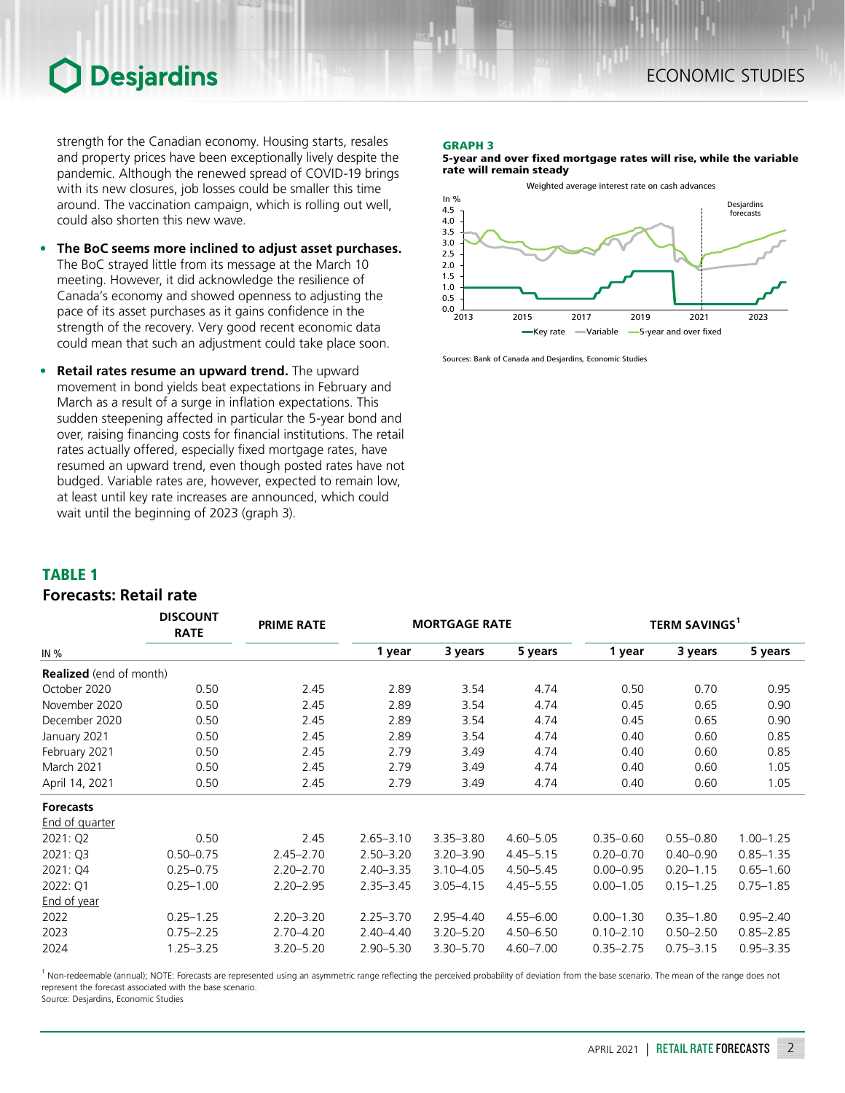### **Desjardins**

strength for the Canadian economy. Housing starts, resales and property prices have been exceptionally lively despite the pandemic. Although the renewed spread of COVID-19 brings with its new closures, job losses could be smaller this time around. The vaccination campaign, which is rolling out well, could also shorten this new wave.

- **• The BoC seems more inclined to adjust asset purchases.** The BoC strayed little from its message at the March 10 meeting. However, it did acknowledge the resilience of Canada's economy and showed openness to adjusting the pace of its asset purchases as it gains confidence in the strength of the recovery. Very good recent economic data could mean that such an adjustment could take place soon.
- **• Retail rates resume an upward trend.** The upward movement in bond yields beat expectations in February and March as a result of a surge in inflation expectations. This sudden steepening affected in particular the 5-year bond and over, raising financing costs for financial institutions. The retail rates actually offered, especially fixed mortgage rates, have resumed an upward trend, even though posted rates have not budged. Variable rates are, however, expected to remain low, at least until key rate increases are announced, which could wait until the beginning of 2023 (graph 3).

*DISCOUNT* 

#### GRAPH 3

5-year and over fixed mortgage rates will rise, while the variable rate will remain steady



Sources: Bank of Canada and Desjardins, Economic Studies

### TABLE 1

### *Forecasts: Retail rate*

|                                | <b>DISCOUNT</b><br><b>RATE</b> | <b>PRIME RATE</b> |               | <b>MORTGAGE RATE</b> |               | <b>TERM SAVINGS</b> |               |               |  |
|--------------------------------|--------------------------------|-------------------|---------------|----------------------|---------------|---------------------|---------------|---------------|--|
| IN $%$                         |                                |                   | 1 year        | 3 years              | 5 years       | 1 year              | 3 years       | 5 years       |  |
| <b>Realized</b> (end of month) |                                |                   |               |                      |               |                     |               |               |  |
| October 2020                   | 0.50                           | 2.45              | 2.89          | 3.54                 | 4.74          | 0.50                | 0.70          | 0.95          |  |
| November 2020                  | 0.50                           | 2.45              | 2.89          | 3.54                 | 4.74          | 0.45                | 0.65          | 0.90          |  |
| December 2020                  | 0.50                           | 2.45              | 2.89          | 3.54                 | 4.74          | 0.45                | 0.65          | 0.90          |  |
| January 2021                   | 0.50                           | 2.45              | 2.89          | 3.54                 | 4.74          | 0.40                | 0.60          | 0.85          |  |
| February 2021                  | 0.50                           | 2.45              | 2.79          | 3.49                 | 4.74          | 0.40                | 0.60          | 0.85          |  |
| March 2021                     | 0.50                           | 2.45              | 2.79          | 3.49                 | 4.74          | 0.40                | 0.60          | 1.05          |  |
| April 14, 2021                 | 0.50                           | 2.45              | 2.79          | 3.49                 | 4.74          | 0.40                | 0.60          | 1.05          |  |
| <b>Forecasts</b>               |                                |                   |               |                      |               |                     |               |               |  |
| End of quarter                 |                                |                   |               |                      |               |                     |               |               |  |
| 2021: Q2                       | 0.50                           | 2.45              | $2.65 - 3.10$ | $3.35 - 3.80$        | $4.60 - 5.05$ | $0.35 - 0.60$       | $0.55 - 0.80$ | $1.00 - 1.25$ |  |
| 2021: Q3                       | $0.50 - 0.75$                  | $2.45 - 2.70$     | $2.50 - 3.20$ | $3.20 - 3.90$        | $4.45 - 5.15$ | $0.20 - 0.70$       | $0.40 - 0.90$ | $0.85 - 1.35$ |  |
| 2021: Q4                       | $0.25 - 0.75$                  | $2.20 - 2.70$     | $2.40 - 3.35$ | $3.10 - 4.05$        | $4.50 - 5.45$ | $0.00 - 0.95$       | $0.20 - 1.15$ | $0.65 - 1.60$ |  |
| 2022: Q1                       | $0.25 - 1.00$                  | $2.20 - 2.95$     | $2.35 - 3.45$ | $3.05 - 4.15$        | $4.45 - 5.55$ | $0.00 - 1.05$       | $0.15 - 1.25$ | $0.75 - 1.85$ |  |
| End of year                    |                                |                   |               |                      |               |                     |               |               |  |
| 2022                           | $0.25 - 1.25$                  | $2.20 - 3.20$     | $2.25 - 3.70$ | $2.95 - 4.40$        | $4.55 - 6.00$ | $0.00 - 1.30$       | $0.35 - 1.80$ | $0.95 - 2.40$ |  |
| 2023                           | $0.75 - 2.25$                  | 2.70-4.20         | $2.40 - 4.40$ | $3.20 - 5.20$        | $4.50 - 6.50$ | $0.10 - 2.10$       | $0.50 - 2.50$ | $0.85 - 2.85$ |  |
| 2024                           | $1.25 - 3.25$                  | $3.20 - 5.20$     | $2.90 - 5.30$ | 3.30-5.70            | $4.60 - 7.00$ | $0.35 - 2.75$       | $0.75 - 3.15$ | $0.95 - 3.35$ |  |

<sup>1</sup> Non-redeemable (annual); NOTE: Forecasts are represented using an asymmetric range reflecting the perceived probability of deviation from the base scenario. The mean of the range does not represent the forecast associated with the base scenario.

Source: Desjardins, Economic Studies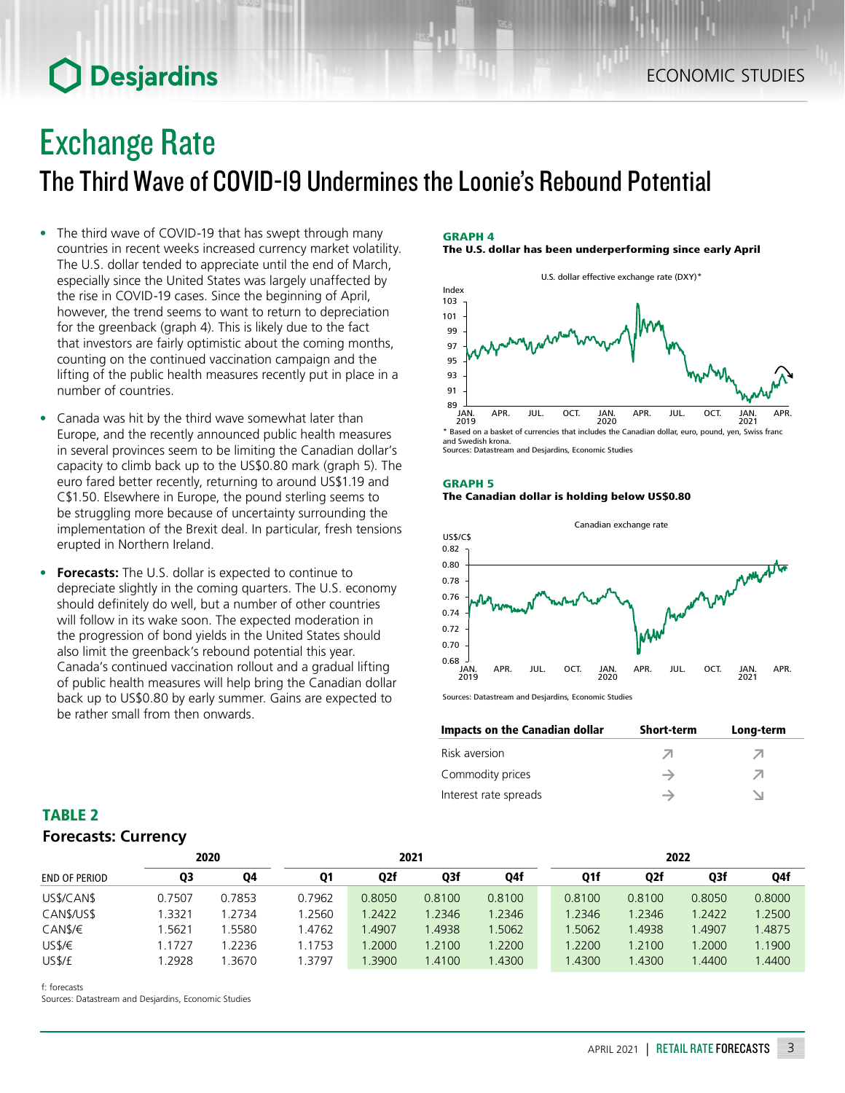# **O** Desjardins

## Exchange Rate

The Third Wave of COVID-19 Undermines the Loonie's Rebound Potential

- The third wave of COVID-19 that has swept through many countries in recent weeks increased currency market volatility. The U.S. dollar tended to appreciate until the end of March, especially since the United States was largely unaffected by the rise in COVID-19 cases. Since the beginning of April, however, the trend seems to want to return to depreciation for the greenback (graph 4). This is likely due to the fact that investors are fairly optimistic about the coming months, counting on the continued vaccination campaign and the lifting of the public health measures recently put in place in a number of countries.
- Canada was hit by the third wave somewhat later than Europe, and the recently announced public health measures in several provinces seem to be limiting the Canadian dollar's capacity to climb back up to the US\$0.80 mark (graph 5). The euro fared better recently, returning to around US\$1.19 and C\$1.50. Elsewhere in Europe, the pound sterling seems to be struggling more because of uncertainty surrounding the implementation of the Brexit deal. In particular, fresh tensions erupted in Northern Ireland.
- **• Forecasts:** The U.S. dollar is expected to continue to depreciate slightly in the coming quarters. The U.S. economy should definitely do well, but a number of other countries will follow in its wake soon. The expected moderation in the progression of bond yields in the United States should also limit the greenback's rebound potential this year. Canada's continued vaccination rollout and a gradual lifting of public health measures will help bring the Canadian dollar back up to US\$0.80 by early summer. Gains are expected to be rather small from then onwards.

### GRAPH 4 The U.S. dollar has been underperforming since early April



<sup>\*</sup> Based on a basket of currencies that includes the Canadian dollar, euro, pound, yen, Swiss franc and Swedish krona. Sources: Datastream and Desjardins, Economic Studies

### GRAPH 5 The Canadian dollar is holding below US\$0.80



Sources: Datastream and Desjardins, Economic Studies

| Impacts on the Canadian dollar | <b>Short-term</b> | Long-term |
|--------------------------------|-------------------|-----------|
| Risk aversion                  |                   | ↗         |
| Commodity prices               |                   | ↗         |
| Interest rate spreads          |                   |           |

| <b>TABLE 2</b>             |  |
|----------------------------|--|
| <b>Forecasts: Currency</b> |  |

|               | 2020   |        | 2021      |        |        |        | 2022   |     |        |        |        |
|---------------|--------|--------|-----------|--------|--------|--------|--------|-----|--------|--------|--------|
| END OF PERIOD | Q3     | Q4     | <b>Q1</b> | Q2f    | Q3f    | Q4f    |        | Q1f | Q2f    | Q3f    | Q4f    |
| US\$/CAN\$    | 0.7507 | 0.7853 | 0.7962    | 0.8050 | 0.8100 | 0.8100 | 0.8100 |     | 0.8100 | 0.8050 | 0.8000 |
| CAN\$/US\$    | 1.3321 | 1.2734 | .2560     | 1.2422 | 1.2346 | 1.2346 | 1.2346 |     | 1.2346 | 1.2422 | 1.2500 |
| CAN\$/€       | .5621  | .5580  | 1.4762    | .4907  | 1.4938 | 1.5062 | .5062  |     | .4938  | 1.4907 | 1.4875 |
| USS/E         | .1727  | 1.2236 | 1.1753    | .2000  | 1.2100 | 1.2200 | 1.2200 |     | 1.2100 | 1.2000 | 1.1900 |
| US\$/£        | .2928  | .3670  | .3797     | .3900  | 1.4100 | 1.4300 | 1.4300 |     | 1.4300 | .4400  | 1.4400 |

f: forecasts

Sources: Datastream and Desjardins, Economic Studies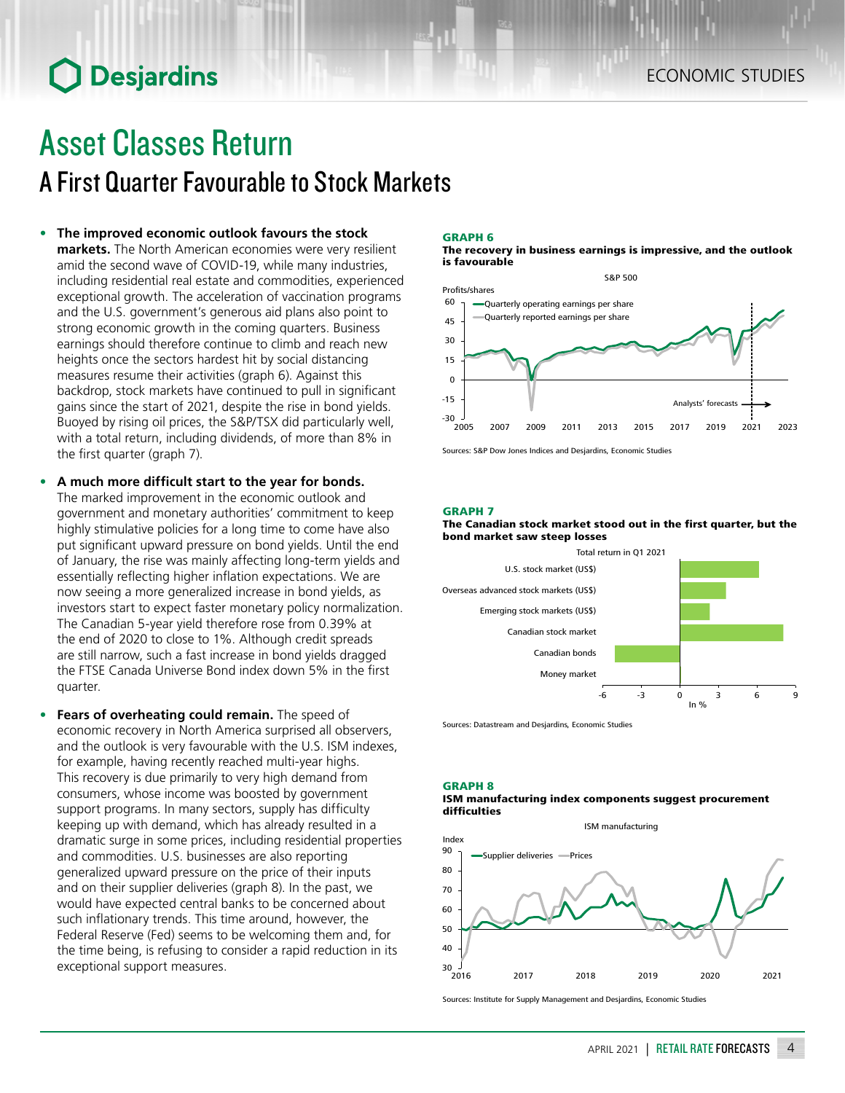# **O** Desjardins

### Asset Classes Return A First Quarter Favourable to Stock Markets

### **• The improved economic outlook favours the stock**

**markets.** The North American economies were very resilient amid the second wave of COVID-19, while many industries, including residential real estate and commodities, experienced exceptional growth. The acceleration of vaccination programs and the U.S. government's generous aid plans also point to strong economic growth in the coming quarters. Business earnings should therefore continue to climb and reach new heights once the sectors hardest hit by social distancing measures resume their activities (graph 6). Against this backdrop, stock markets have continued to pull in significant gains since the start of 2021, despite the rise in bond yields. Buoyed by rising oil prices, the S&P/TSX did particularly well, with a total return, including dividends, of more than 8% in the first quarter (graph 7).

- **• A much more difficult start to the year for bonds.** The marked improvement in the economic outlook and government and monetary authorities' commitment to keep highly stimulative policies for a long time to come have also put significant upward pressure on bond yields. Until the end of January, the rise was mainly affecting long-term yields and essentially reflecting higher inflation expectations. We are now seeing a more generalized increase in bond yields, as investors start to expect faster monetary policy normalization. The Canadian 5-year yield therefore rose from 0.39% at the end of 2020 to close to 1%. Although credit spreads are still narrow, such a fast increase in bond yields dragged the FTSE Canada Universe Bond index down 5% in the first quarter.
- **• Fears of overheating could remain.** The speed of economic recovery in North America surprised all observers, and the outlook is very favourable with the U.S. ISM indexes, for example, having recently reached multi-year highs. This recovery is due primarily to very high demand from consumers, whose income was boosted by government support programs. In many sectors, supply has difficulty keeping up with demand, which has already resulted in a dramatic surge in some prices, including residential properties and commodities. U.S. businesses are also reporting generalized upward pressure on the price of their inputs and on their supplier deliveries (graph 8). In the past, we would have expected central banks to be concerned about such inflationary trends. This time around, however, the Federal Reserve (Fed) seems to be welcoming them and, for the time being, is refusing to consider a rapid reduction in its exceptional support measures.

#### GRAPH 6

The recovery in business earnings is impressive, and the outlook is favourable



Sources: S&P Dow Jones Indices and Desjardins, Economic Studie

#### GRAPH 7

#### The Canadian stock market stood out in the first quarter, but the bond market saw steep losses



Sources: Datastream and Desjardins, Economic Studies

#### GRAPH 8

#### ISM manufacturing index components suggest procurement difficulties



Sources: Institute for Supply Management and Desjardins, Economic Studies